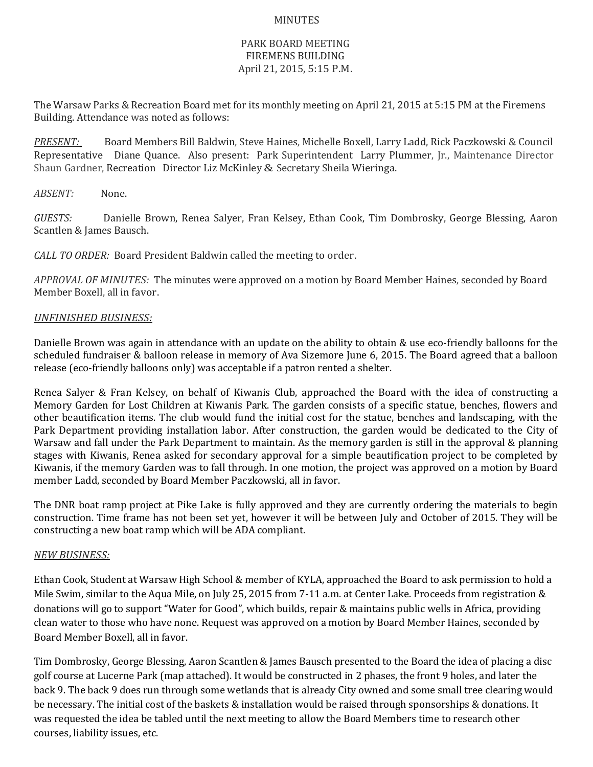## MINUTES

## PARK BOARD MEETING FIREMENS BUILDING April 21, 2015, 5:15 P.M.

The Warsaw Parks & Recreation Board met for its monthly meeting on April 21, 2015 at 5:15 PM at the Firemens Building. Attendance was noted as follows:

*PRESENT:* Board Members Bill Baldwin, Steve Haines, Michelle Boxell, Larry Ladd, Rick Paczkowski & Council Representative Diane Quance. Also present: Park Superintendent Larry Plummer, Jr., Maintenance Director Shaun Gardner, Recreation Director Liz McKinley & Secretary Sheila Wieringa.

*ABSENT:* None.

*GUESTS:* Danielle Brown, Renea Salyer, Fran Kelsey, Ethan Cook, Tim Dombrosky, George Blessing, Aaron Scantlen & James Bausch.

*CALL TO ORDER:* Board President Baldwin called the meeting to order.

*APPROVAL OF MINUTES:* The minutes were approved on a motion by Board Member Haines, seconded by Board Member Boxell, all in favor.

## *UNFINISHED BUSINESS:*

Danielle Brown was again in attendance with an update on the ability to obtain & use eco-friendly balloons for the scheduled fundraiser & balloon release in memory of Ava Sizemore June 6, 2015. The Board agreed that a balloon release (eco-friendly balloons only) was acceptable if a patron rented a shelter.

Renea Salyer & Fran Kelsey, on behalf of Kiwanis Club, approached the Board with the idea of constructing a Memory Garden for Lost Children at Kiwanis Park. The garden consists of a specific statue, benches, flowers and other beautification items. The club would fund the initial cost for the statue, benches and landscaping, with the Park Department providing installation labor. After construction, the garden would be dedicated to the City of Warsaw and fall under the Park Department to maintain. As the memory garden is still in the approval & planning stages with Kiwanis, Renea asked for secondary approval for a simple beautification project to be completed by Kiwanis, if the memory Garden was to fall through. In one motion, the project was approved on a motion by Board member Ladd, seconded by Board Member Paczkowski, all in favor.

The DNR boat ramp project at Pike Lake is fully approved and they are currently ordering the materials to begin construction. Time frame has not been set yet, however it will be between July and October of 2015. They will be constructing a new boat ramp which will be ADA compliant.

## *NEW BUSINESS:*

Ethan Cook, Student at Warsaw High School & member of KYLA, approached the Board to ask permission to hold a Mile Swim, similar to the Aqua Mile, on July 25, 2015 from 7-11 a.m. at Center Lake. Proceeds from registration & donations will go to support "Water for Good", which builds, repair & maintains public wells in Africa, providing clean water to those who have none. Request was approved on a motion by Board Member Haines, seconded by Board Member Boxell, all in favor.

Tim Dombrosky, George Blessing, Aaron Scantlen & James Bausch presented to the Board the idea of placing a disc golf course at Lucerne Park (map attached). It would be constructed in 2 phases, the front 9 holes, and later the back 9. The back 9 does run through some wetlands that is already City owned and some small tree clearing would be necessary. The initial cost of the baskets & installation would be raised through sponsorships & donations. It was requested the idea be tabled until the next meeting to allow the Board Members time to research other courses, liability issues, etc.